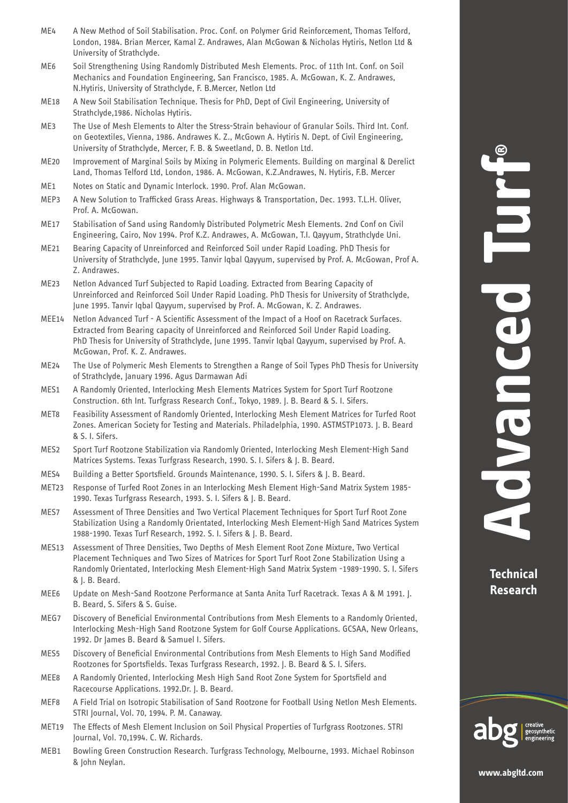- ME4 A New Method of Soil Stabilisation. Proc. Conf. on Polymer Grid Reinforcement, Thomas Telford, London, 1984. Brian Mercer, Kamal Z. Andrawes, Alan McGowan & Nicholas Hytiris, Netlon Ltd & University of Strathclyde.
- ME6 Soil Strengthening Using Randomly Distributed Mesh Elements. Proc. of 11th Int. Conf. on Soil Mechanics and Foundation Engineering, San Francisco, 1985. A. McGowan, K. Z. Andrawes, N.Hytiris, University of Strathclyde, F. B.Mercer, Netlon Ltd
- ME18 A New Soil Stabilisation Technique. Thesis for PhD, Dept of Civil Engineering, University of Strathclyde,1986. Nicholas Hytiris.
- ME3 The Use of Mesh Elements to Alter the Stress-Strain behaviour of Granular Soils. Third Int. Conf. on Geotextiles, Vienna, 1986. Andrawes K. Z., McGown A. Hytiris N. Dept. of Civil Engineering, University of Strathclyde, Mercer, F. B. & Sweetland, D. B. Netlon Ltd.
- ME20 Improvement of Marginal Soils by Mixing in Polymeric Elements. Building on marginal & Derelict Land, Thomas Telford Ltd, London, 1986. A. McGowan, K.Z.Andrawes, N. Hytiris, F.B. Mercer
- ME1 Notes on Static and Dynamic Interlock. 1990. Prof. Alan McGowan.
- MEP3 A New Solution to Trafficked Grass Areas. Highways & Transportation, Dec. 1993. T.L.H. Oliver, Prof. A. McGowan.
- ME17 Stabilisation of Sand using Randomly Distributed Polymetric Mesh Elements. 2nd Conf on Civil Engineering, Cairo, Nov 1994. Prof K.Z. Andrawes, A. McGowan, T.I. Qayyum, Strathclyde Uni.
- ME21 Bearing Capacity of Unreinforced and Reinforced Soil under Rapid Loading. PhD Thesis for University of Strathclyde, June 1995. Tanvir Iqbal Qayyum, supervised by Prof. A. McGowan, Prof A. Z. Andrawes.
- ME23 Netlon Advanced Turf Subjected to Rapid Loading. Extracted from Bearing Capacity of Unreinforced and Reinforced Soil Under Rapid Loading. PhD Thesis for University of Strathclyde, June 1995. Tanvir Iqbal Qayyum, supervised by Prof. A. McGowan, K. Z. Andrawes.
- MEE14 Netlon Advanced Turf A Scientific Assessment of the Impact of a Hoof on Racetrack Surfaces. Extracted from Bearing capacity of Unreinforced and Reinforced Soil Under Rapid Loading. PhD Thesis for University of Strathclyde, June 1995. Tanvir Iqbal Qayyum, supervised by Prof. A. McGowan, Prof. K. Z. Andrawes.
- ME24 The Use of Polymeric Mesh Elements to Strengthen a Range of Soil Types PhD Thesis for University of Strathclyde, January 1996. Agus Darmawan Adi
- MES1 A Randomly Oriented, Interlocking Mesh Elements Matrices System for Sport Turf Rootzone Construction. 6th Int. Turfgrass Research Conf., Tokyo, 1989. J. B. Beard & S. I. Sifers.
- MET8 Feasibility Assessment of Randomly Oriented, Interlocking Mesh Element Matrices for Turfed Root Zones. American Society for Testing and Materials. Philadelphia, 1990. ASTMSTP1073. J. B. Beard & S. I. Sifers.
- MES2 Sport Turf Rootzone Stabilization via Randomly Oriented, Interlocking Mesh Element-High Sand Matrices Systems. Texas Turfgrass Research, 1990. S. I. Sifers & J. B. Beard.
- MES4 Building a Better Sportsfield. Grounds Maintenance, 1990. S. I. Sifers & J. B. Beard.
- MET23 Response of Turfed Root Zones in an Interlocking Mesh Element High-Sand Matrix System 1985- 1990. Texas Turfgrass Research, 1993. S. I. Sifers & J. B. Beard.
- MES7 Assessment of Three Densities and Two Vertical Placement Techniques for Sport Turf Root Zone Stabilization Using a Randomly Orientated, Interlocking Mesh Element-High Sand Matrices System 1988-1990. Texas Turf Research, 1992. S. I. Sifers & J. B. Beard.
- MES13 Assessment of Three Densities, Two Depths of Mesh Element Root Zone Mixture, Two Vertical Placement Techniques and Two Sizes of Matrices for Sport Turf Root Zone Stabilization Using a Randomly Orientated, Interlocking Mesh Element-High Sand Matrix System -1989-1990. S. I. Sifers & J. B. Beard.
- MEE6 Update on Mesh-Sand Rootzone Performance at Santa Anita Turf Racetrack. Texas A & M 1991. J. B. Beard, S. Sifers & S. Guise.
- MEG7 Discovery of Beneficial Environmental Contributions from Mesh Elements to a Randomly Oriented, Interlocking Mesh-High Sand Rootzone System for Golf Course Applications. GCSAA, New Orleans, 1992. Dr James B. Beard & Samuel I. Sifers.
- MES5 Discovery of Beneficial Environmental Contributions from Mesh Elements to High Sand Modified Rootzones for Sportsfields. Texas Turfgrass Research, 1992. J. B. Beard & S. I. Sifers.
- MEE8 A Randomly Oriented, Interlocking Mesh High Sand Root Zone System for Sportsfield and Racecourse Applications. 1992.Dr. J. B. Beard.
- MEF8 A Field Trial on Isotropic Stabilisation of Sand Rootzone for Football Using Netlon Mesh Elements. STRI Journal, Vol. 70, 1994. P. M. Canaway.
- MET19 The Effects of Mesh Element Inclusion on Soil Physical Properties of Turfgrass Rootzones. STRI Journal, Vol. 70,1994. C. W. Richards.
- MEB1 Bowling Green Construction Research. Turfgrass Technology, Melbourne, 1993. Michael Robinson & John Neylan.

**Technical Research**